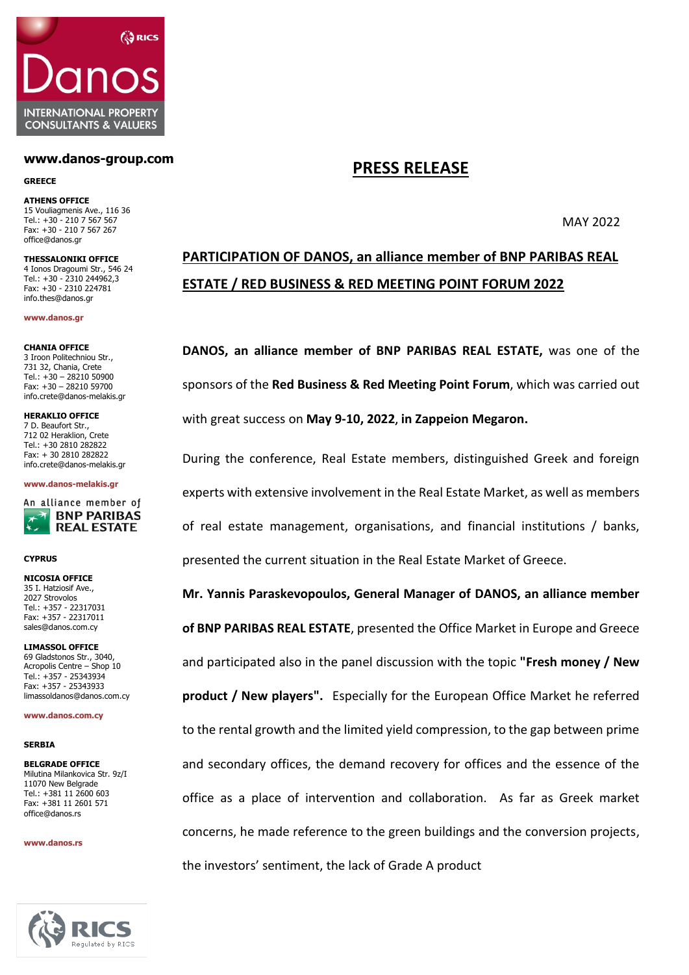

## **www.danos-group.com**

### **GREECE**

**ATHENS OFFICE** 15 Vouliagmenis Ave., 116 36 Tel.: +30 - 210 7 567 567 Fax: +30 - 210 7 567 267 [office@danos.gr](mailto:office@danos.gr)

**THESSALONIKI OFFICE** 4 Ionos Dragoumi Str., 546 24 Tel.: +30 - 2310 244962,3 Fax: +30 - 2310 224781 [info.thes@danos.gr](mailto:info.thes@danos.gr)

**[www.danos.gr](http://www.danos.gr/)**

## **CHANIA OFFICE**

3 Iroon Politechniou Str., 731 32, Chania, Crete Tel.:  $+30 - 28210$  50900 Fax: +30 – 28210 59700 [info.crete@danos-melakis.gr](mailto:info.crete@danos-melakis.gr)

**HERAKLIO OFFICE** 7 D. Beaufort Str., 712 02 Heraklion, Crete Tel.: +30 2810 282822 Fax: + 30 2810 282822 [info.crete@danos-melakis.gr](mailto:k.orfanos@danos-melakis.gr)

### **[www.danos-melakis.gr](http://www.danos.gr/)**



## **CYPRUS**

**NICOSIA OFFICE** 35 I. Hatziosif Ave., 2027 Strovolos Tel.: +357 - 22317031 Fax: +357 - 22317011 sales@danos.com.cy

**LIMASSOL OFFICE** 69 Gladstonos Str., 3040, Acropolis Centre – Shop 10 Tel.: +357 - 25343934 Fax: +357 - 25343933 limassoldanos@danos.com.cy

#### **[www.danos.com.cy](http://www.danos.com.cy/)**

## **SERBIA**

**BELGRADE OFFICE** Milutina Milankovica Str. 9z/I 11070 New Belgrade Tel.: +381 11 2600 603 Fax: +381 11 2601 571 [office@danos.rs](mailto:office@danos.rs)

#### **www.danos.rs**



# **PRESS RELEASE**

MAY 2022

# **PARTICIPATION OF DANOS, an alliance member of BNP PARIBAS REAL ESTATE / RED BUSINESS & RED MEETING POINT FORUM 2022**

**DANOS, an alliance member of BNP PARIBAS REAL ESTATE,** was one of the sponsors of the **Red Business & Red Meeting Point Forum**, which was carried out with great success on **May 9-10, 2022**, **in Zappeion Megaron.**

During the conference, Real Estate members, distinguished Greek and foreign experts with extensive involvement in the Real Estate Market, as well as members of real estate management, organisations, and financial institutions / banks, presented the current situation in the Real Estate Market of Greece.

**Mr. Yannis Paraskevopoulos, General Manager of DANOS, an alliance member of BNP PARIBAS REAL ESTATE**, presented the Office Market in Europe and Greece and participated also in the panel discussion with the topic **"Fresh money / New product / New players".** Especially for the European Office Market he referred to the rental growth and the limited yield compression, to the gap between prime and secondary offices, the demand recovery for offices and the essence of the office as a place of intervention and collaboration. As far as Greek market concerns, he made reference to the green buildings and the conversion projects, the investors' sentiment, the lack of Grade A product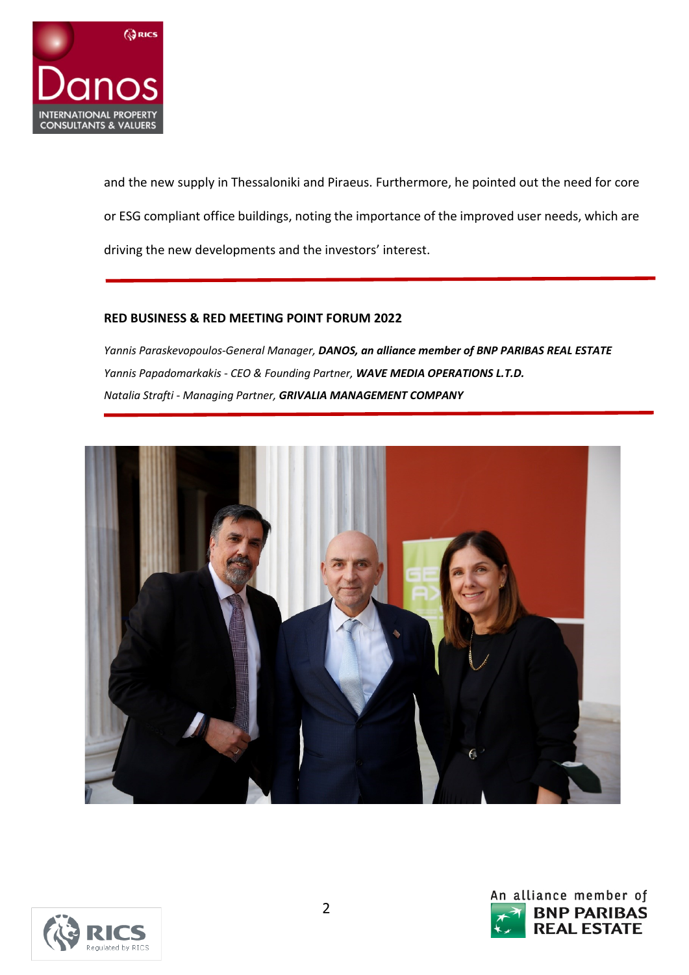

and the new supply in Thessaloniki and Piraeus. Furthermore, he pointed out the need for core or ESG compliant office buildings, noting the importance of the improved user needs, which are driving the new developments and the investors' interest.

# **RED BUSINESS & RED MEETING POINT FORUM 2022**

*Yannis Paraskevopoulos-General Manager, DANOS, an alliance member of BNP PARIBAS REAL ESTATE Yannis Papadomarkakis - CEO & Founding Partner, WAVE MEDIA OPERATIONS L.T.D. Natalia Strafti - Managing Partner, GRIVALIA MANAGEMENT COMPANY*